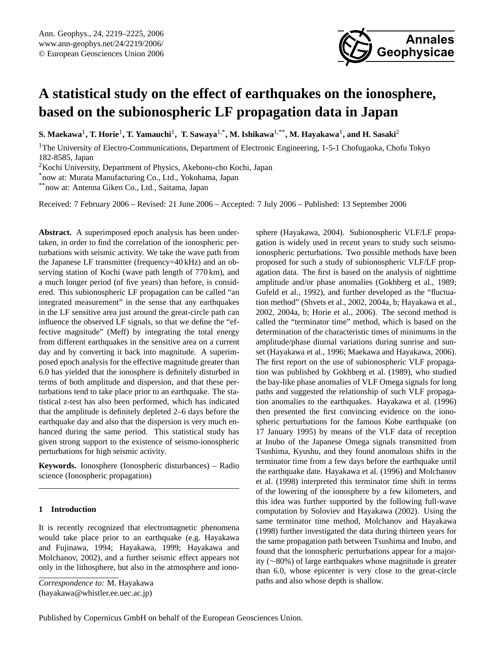

# **A statistical study on the effect of earthquakes on the ionosphere, based on the subionospheric LF propagation data in Japan**

 ${\bf S.}$  Maekawa<sup>1</sup>, T. Horie<sup>1</sup>, T. Yamauchi<sup>1</sup>, T. Sawaya<sup>1,\*</sup>, M. Ishikawa<sup>1,\*\*</sup>, M. Hayakawa<sup>1</sup>, and H. Sasaki<sup>2</sup>

<sup>1</sup>The University of Electro-Communications, Department of Electronic Engineering, 1-5-1 Chofugaoka, Chofu Tokyo 182-8585, Japan

<sup>2</sup>Kochi University, Department of Physics, Akebono-cho Kochi, Japan

\*now at: Murata Manufacturing Co., Ltd., Yokohama, Japan

\*\*now at: Antenna Giken Co., Ltd., Saitama, Japan

Received: 7 February 2006 – Revised: 21 June 2006 – Accepted: 7 July 2006 – Published: 13 September 2006

**Abstract.** A superimposed epoch analysis has been undertaken, in order to find the correlation of the ionospheric perturbations with seismic activity. We take the wave path from the Japanese LF transmitter (frequency=40 kHz) and an observing station of Kochi (wave path length of 770 km), and a much longer period (of five years) than before, is considered. This subionospheric LF propagation can be called "an integrated measurement" in the sense that any earthquakes in the LF sensitive area just around the great-circle path can influence the observed LF signals, so that we define the "effective magnitude" (Meff) by integrating the total energy from different earthquakes in the sensitive area on a current day and by converting it back into magnitude. A superimposed epoch analysis for the effective magnitude greater than 6.0 has yielded that the ionosphere is definitely disturbed in terms of both amplitude and dispersion, and that these perturbations tend to take place prior to an earthquake. The statistical z-test has also been performed, which has indicated that the amplitude is definitely depleted 2–6 days before the earthquake day and also that the dispersion is very much enhanced during the same period. This statistical study has given strong support to the existence of seismo-ionospheric perturbations for high seismic activity.

**Keywords.** Ionosphere (Ionospheric disturbances) – Radio science (Ionospheric propagation)

# **1 Introduction**

It is recently recognized that electromagnetic phenomena would take place prior to an earthquake (e.g. Hayakawa and Fujinawa, 1994; Hayakawa, 1999; Hayakawa and Molchanov, 2002), and a further seismic effect appears not only in the lithosphere, but also in the atmosphere and iono-

*Correspondence to:* M. Hayakawa

<span id="page-0-0"></span>(hayakawa@whistler.ee.uec.ac.jp)

sphere (Hayakawa, 2004). Subionospheric VLF/LF propagation is widely used in recent years to study such seismoionospheric perturbations. Two possible methods have been proposed for such a study of subionospheric VLF/LF propagation data. The first is based on the analysis of nighttime amplitude and/or phase anomalies (Gokhberg et al., 1989; Gufeld et al., 1992), and further developed as the "fluctuation method" (Shvets et al., 2002, 2004a, b; Hayakawa et al., 2002, 2004a, b; Horie et al., 2006). The second method is called the "terminator time" method, which is based on the determination of the characteristic times of minimums in the amplitude/phase diurnal variations during sunrise and sunset (Hayakawa et al., 1996; Maekawa and Hayakawa, 2006). The first report on the use of subionospheric VLF propagation was published by Gokhberg et al. (1989), who studied the bay-like phase anomalies of VLF Omega signals for long paths and suggested the relationship of such VLF propagation anomalies to the earthquakes. Hayakawa et al. (1996) then presented the first convincing evidence on the ionospheric perturbations for the famous Kobe earthquake (on 17 January 1995) by means of the VLF data of reception at Inubo of the Japanese Omega signals transmitted from Tsushima, Kyushu, and they found anomalous shifts in the terminator time from a few days before the earthquake until the earthquake date. Hayakawa et al. (1996) and Molchanov et al. (1998) interpreted this terminator time shift in terms of the lowering of the ionosphere by a few kilometers, and this idea was further supported by the following full-wave computation by Soloviev and Hayakawa (2002). Using the same terminator time method, Molchanov and Hayakawa (1998) further investigated the data during thirteen years for the same propagation path between Tsushima and Inubo, and found that the ionospheric perturbations appear for a majority (∼80%) of large earthquakes whose magnitude is greater than 6.0, whose epicenter is very close to the great-circle paths and also whose depth is shallow.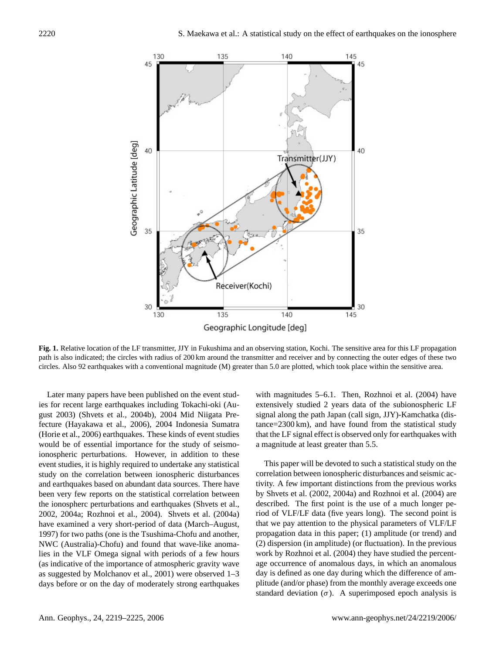

Fig. 1. Ketative location of the EP-transmitter, 33.1 In Fukushina and an observing station, Rochi. The sensitive area for this EP-propagation path is also indicated; the circles with radius of 200 km around the transmitte **Fig. 1.** Relative location of the LF transmitter, JJY in Fukushima and an observing station, Kochi. The sensitive area for this LF propagation circles. Also 92 earthquakes with a conventional magnitude (M) greater than 5.0 are plotted, which took place within the sensitive area.

Later many papers have been published on the event studies for recent large earthquakes including Tokachi-oki (August 2003) (Shvets et al., 2004b), 2004 Mid Niigata Prefecture (Hayakawa et al., 2006), 2004 Indonesia Sumatra (Horie et al., 2006) earthquakes. These kinds of event studies would be of essential importance for the study of seismoionospheric perturbations. However, in addition to these event studies, it is highly required to undertake any statistical study on the correlation between ionospheric disturbances and earthquakes based on abundant data sources. There have been very few reports on the statistical correlation between the ionospherc perturbations and earthquakes (Shvets et al., 2002, 2004a; Rozhnoi et al., 2004). Shvets et al. (2004a) have examined a very short-period of data (March–August, 1997) for two paths (one is the Tsushima-Chofu and another, NWC (Australia)-Chofu) and found that wave-like anomalies in the VLF Omega signal with periods of a few hours (as indicative of the importance of atmospheric gravity wave as suggested by Molchanov et al., 2001) were observed 1–3 days before or on the day of moderately strong earthquakes

with magnitudes 5–6.1. Then, Rozhnoi et al. (2004) have extensively studied 2 years data of the subionospheric LF signal along the path Japan (call sign, JJY)-Kamchatka (distance=2300 km), and have found from the statistical study that the LF signal effect is observed only for earthquakes with a magnitude at least greater than 5.5.

This paper will be devoted to such a statistical study on the correlation between ionospheric disturbances and seismic activity. A few important distinctions from the previous works by Shvets et al. (2002, 2004a) and Rozhnoi et al. (2004) are described. The first point is the use of a much longer period of VLF/LF data (five years long). The second point is that we pay attention to the physical parameters of VLF/LF propagation data in this paper; (1) amplitude (or trend) and (2) dispersion (in amplitude) (or fluctuation). In the previous work by Rozhnoi et al. (2004) they have studied the percentage occurrence of anomalous days, in which an anomalous day is defined as one day during which the difference of amplitude (and/or phase) from the monthly average exceeds one standard deviation  $(\sigma)$ . A superimposed epoch analysis is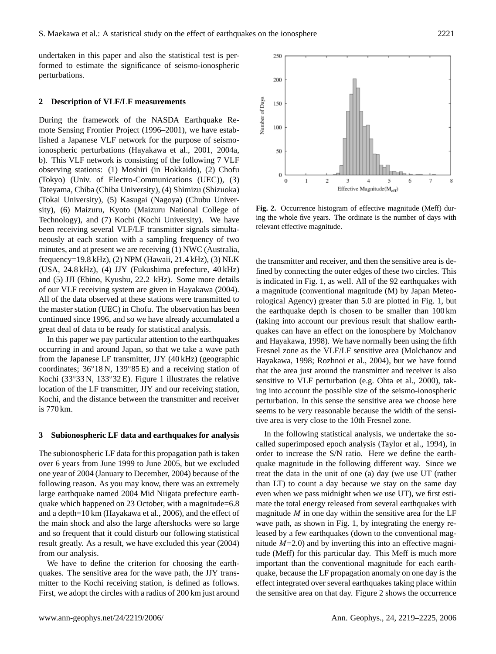undertaken in this paper and also the statistical test is performed to estimate the significance of seismo-ionospheric perturbations.

## **2 Description of VLF/LF measurements**

During the framework of the NASDA Earthquake Remote Sensing Frontier Project (1996–2001), we have established a Japanese VLF network for the purpose of seismoionospheric perturbations (Hayakawa et al., 2001, 2004a, b). This VLF network is consisting of the following 7 VLF observing stations: (1) Moshiri (in Hokkaido), (2) Chofu (Tokyo) (Univ. of Electro-Communications (UEC)), (3) Tateyama, Chiba (Chiba University), (4) Shimizu (Shizuoka) (Tokai University), (5) Kasugai (Nagoya) (Chubu University), (6) Maizuru, Kyoto (Maizuru National College of Technology), and (7) Kochi (Kochi University). We have been receiving several VLF/LF transmitter signals simultaneously at each station with a sampling frequency of two minutes, and at present we are receiving (1) NWC (Australia, frequency=19.8 kHz), (2) NPM (Hawaii, 21.4 kHz), (3) NLK (USA, 24.8 kHz), (4) JJY (Fukushima prefecture, 40 kHz) and (5) JJI (Ebino, Kyushu, 22.2 kHz). Some more details of our VLF receiving system are given in Hayakawa (2004). All of the data observed at these stations were transmitted to the master station (UEC) in Chofu. The observation has been continued since 1996, and so we have already accumulated a great deal of data to be ready for statistical analysis.

In this paper we pay particular attention to the earthquakes occurring in and around Japan, so that we take a wave path from the Japanese LF transmitter, JJY (40 kHz) (geographic coordinates; 36◦18 N, 139◦85 E) and a receiving station of Kochi (33◦33 N, 133◦32 E). Figure 1 illustrates the relative location of the LF transmitter, JJY and our receiving station, Kochi, and the distance between the transmitter and receiver is 770 km.

#### **3 Subionospheric LF data and earthquakes for analysis**

The subionospheric LF data for this propagation path is taken over 6 years from June 1999 to June 2005, but we excluded one year of 2004 (January to December, 2004) because of the following reason. As you may know, there was an extremely large earthquake named 2004 Mid Niigata prefecture earthquake which happened on 23 October, with a magnitude=6.8 and a depth=10 km (Hayakawa et al., 2006), and the effect of the main shock and also the large aftershocks were so large and so frequent that it could disturb our following statistical result greatly. As a result, we have excluded this year (2004) from our analysis.

We have to define the criterion for choosing the earthquakes. The sensitive area for the wave path, the JJY transmitter to the Kochi receiving station, is defined as follows. First, we adopt the circles with a radius of 200 km just around



Fig. 2. Occurrence histogram of effective magnitude (Meff) during the whole five years. The ordinate is the number of days with relevant effective magnitude.

the transmitter and receiver, and then the sensitive area is defined by connecting the outer edges of these two circles. This is indicated in Fig. 1, as well. All of the 92 earthquakes with a magnitude (conventional magnitude (M) by Japan Meteorological Agency) greater than 5.0 are plotted in Fig. 1, but the earthquake depth is chosen to be smaller than 100 km (taking into account our previous result that shallow earthquakes can have an effect on the ionosphere by Molchanov and Hayakawa, 1998). We have normally been using the fifth Fresnel zone as the VLF/LF sensitive area (Molchanov and Hayakawa, 1998; Rozhnoi et al., 2004), but we have found that the area just around the transmitter and receiver is also sensitive to VLF perturbation (e.g. Ohta et al., 2000), taking into account the possible size of the seismo-ionospheric perturbation. In this sense the sensitive area we choose here seems to be very reasonable because the width of the sensitive area is very close to the 10th Fresnel zone.

In the following statistical analysis, we undertake the socalled superimposed epoch analysis (Taylor et al., 1994), in order to increase the S/N ratio. Here we define the earthquake magnitude in the following different way. Since we treat the data in the unit of one (a) day (we use UT (rather than LT) to count a day because we stay on the same day even when we pass midnight when we use UT), we first estimate the total energy released from several earthquakes with magnitude  $M$  in one day within the sensitive area for the LF wave path, as shown in Fig. 1, by integrating the energy released by a few earthquakes (down to the conventional magnitude  $M=2.0$ ) and by inverting this into an effective magnitude (Meff) for this particular day. This Meff is much more important than the conventional magnitude for each earthquake, because the LF propagation anomaly on one day is the effect integrated over several earthquakes taking place within the sensitive area on that day. Figure 2 shows the occurrence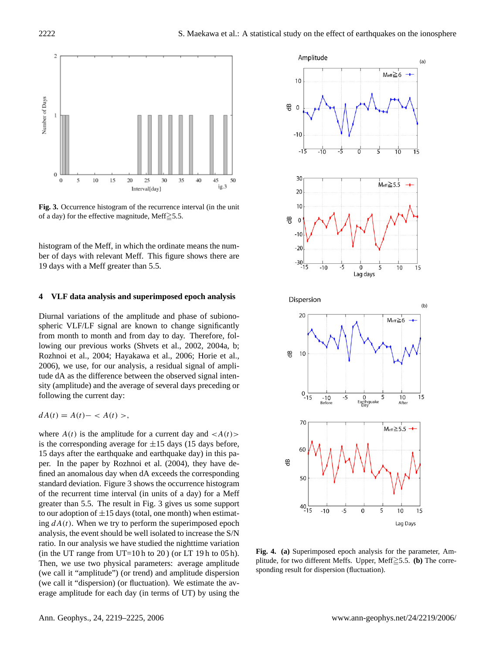

**Fig. 3.** Occurrence histogram of the recurrence interval (in the unit of a day) for the effective magnitude, Meff $\geq$ 5.5.

histogram of the Meff, in which the ordinate means the number of days with relevant Meff. This figure shows there are 19 days with a Meff greater than 5.5.

## **4 VLF data analysis and superimposed epoch analysis**

Diurnal variations of the amplitude and phase of subionospheric VLF/LF signal are known to change significantly from month to month and from day to day. Therefore, following our previous works (Shvets et al., 2002, 2004a, b; Rozhnoi et al., 2004; Hayakawa et al., 2006; Horie et al., 2006), we use, for our analysis, a residual signal of amplitude dA as the difference between the observed signal intensity (amplitude) and the average of several days preceding or following the current day:

$$
dA(t) = A(t) - \langle A(t) \rangle,
$$

where  $A(t)$  is the amplitude for a current day and  $\langle A(t) \rangle$ is the corresponding average for  $\pm 15$  days (15 days before, 15 days after the earthquake and earthquake day) in this paper. In the paper by Rozhnoi et al. (2004), they have defined an anomalous day when dA exceeds the corresponding standard deviation. Figure 3 shows the occurrence histogram of the recurrent time interval (in units of a day) for a Meff greater than 5.5. The result in Fig. 3 gives us some support to our adoption of  $\pm 15$  days (total, one month) when estimating  $dA(t)$ . When we try to perform the superimposed epoch analysis, the event should be well isolated to increase the S/N ratio. In our analysis we have studied the nighttime variation (in the UT range from UT=10 h to 20) (or LT 19 h to 05 h). Then, we use two physical parameters: average amplitude (we call it "amplitude") (or trend) and amplitude dispersion (we call it "dispersion) (or fluctuation). We estimate the average amplitude for each day (in terms of UT) by using the



**Fig. 4. (a)** Superimposed epoch analysis for the parameter, Amplitude, for two different Meffs. Upper, Meff $\geq$ 5.5. **(b)** The corresponding result for dispersion (fluctuation).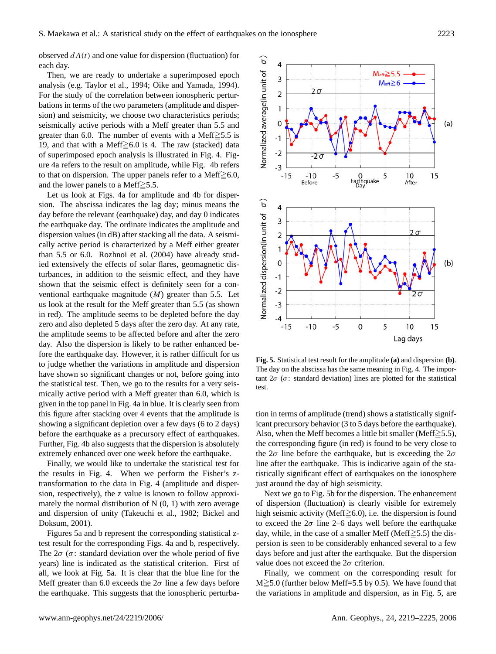observed  $dA(t)$  and one value for dispersion (fluctuation) for each day.

Then, we are ready to undertake a superimposed epoch analysis (e.g. Taylor et al., 1994; Oike and Yamada, 1994). For the study of the correlation between ionospheric perturbations in terms of the two parameters (amplitude and dispersion) and seismicity, we choose two characteristics periods; seismically active periods with a Meff greater than 5.5 and greater than 6.0. The number of events with a Meff $\geq 5.5$  is 19, and that with a Meff $\geq 6.0$  is 4. The raw (stacked) data of superimposed epoch analysis is illustrated in Fig. 4. Figure 4a refers to the result on amplitude, while Fig. 4b refers to that on dispersion. The upper panels refer to a Meff $\geq 6.0$ , and the lower panels to a Meff $\geq 5.5$ .

Let us look at Figs. 4a for amplitude and 4b for dispersion. The abscissa indicates the lag day; minus means the day before the relevant (earthquake) day, and day 0 indicates the earthquake day. The ordinate indicates the amplitude and dispersion values (in dB) after stacking all the data. A seismically active period is characterized by a Meff either greater than 5.5 or 6.0. Rozhnoi et al. (2004) have already studied extensively the effects of solar flares, geomagnetic disturbances, in addition to the seismic effect, and they have shown that the seismic effect is definitely seen for a conventional earthquake magnitude  $(M)$  greater than 5.5. Let us look at the result for the Meff greater than 5.5 (as shown in red). The amplitude seems to be depleted before the day zero and also depleted 5 days after the zero day. At any rate, the amplitude seems to be affected before and after the zero day. Also the dispersion is likely to be rather enhanced before the earthquake day. However, it is rather difficult for us to judge whether the variations in amplitude and dispersion have shown so significant changes or not, before going into the statistical test. Then, we go to the results for a very seismically active period with a Meff greater than 6.0, which is given in the top panel in Fig. 4a in blue. It is clearly seen from this figure after stacking over 4 events that the amplitude is showing a significant depletion over a few days (6 to 2 days) before the earthquake as a precursory effect of earthquakes. Further, Fig. 4b also suggests that the dispersion is absolutely extremely enhanced over one week before the earthquake.

Finally, we would like to undertake the statistical test for the results in Fig. 4. When we perform the Fisher's ztransformation to the data in Fig. 4 (amplitude and dispersion, respectively), the z value is known to follow approximately the normal distribution of  $N(0, 1)$  with zero average and dispersion of unity (Takeuchi et al., 1982; Bickel and Doksum, 2001).

Figures 5a and b represent the corresponding statistical ztest result for the corresponding Figs. 4a and b, respectively. The  $2\sigma$  ( $\sigma$ : standard deviation over the whole period of five years) line is indicated as the statistical criterion. First of all, we look at Fig. 5a. It is clear that the blue line for the Meff greater than 6.0 exceeds the  $2\sigma$  line a few days before the earthquake. This suggests that the ionospheric perturba-



**Fig. 5.** Statistical test result for the amplitude Fig.5 **(a)** and dispersion **(b)**. The day on the abscissa has the same meaning in Fig. 4. The important  $2\sigma$  ( $\sigma$ : standard deviation) lines are plotted for the statistical test.

tion in terms of amplitude (trend) shows a statistically significant precursory behavior (3 to 5 days before the earthquake). Also, when the Meff becomes a little bit smaller (Meff $\geq$ 5.5), the corresponding figure (in red) is found to be very close to the  $2\sigma$  line before the earthquake, but is exceeding the  $2\sigma$ line after the earthquake. This is indicative again of the statistically significant effect of earthquakes on the ionosphere just around the day of high seismicity.

Next we go to Fig. 5b for the dispersion. The enhancement of dispersion (fluctuation) is clearly visible for extremely high seismic activity (Meff $\geq$ 6.0), i.e. the dispersion is found to exceed the  $2\sigma$  line 2–6 days well before the earthquake day, while, in the case of a smaller Meff (Meff $\geq$ 5.5) the dispersion is seen to be considerably enhanced several to a few days before and just after the earthquake. But the dispersion value does not exceed the  $2\sigma$  criterion.

Finally, we comment on the corresponding result for  $M \geq 5.0$  (further below Meff=5.5 by 0.5). We have found that the variations in amplitude and dispersion, as in Fig. 5, are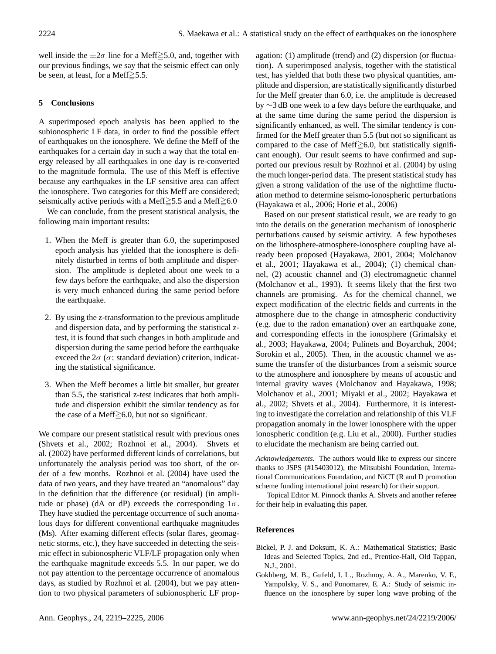well inside the  $\pm 2\sigma$  line for a Meff $\geq 5.0$ , and, together with our previous findings, we say that the seismic effect can only be seen, at least, for a Meff $\geq 5.5$ .

# **5 Conclusions**

A superimposed epoch analysis has been applied to the subionospheric LF data, in order to find the possible effect of earthquakes on the ionosphere. We define the Meff of the earthquakes for a certain day in such a way that the total energy released by all earthquakes in one day is re-converted to the magnitude formula. The use of this Meff is effective because any earthquakes in the LF sensitive area can affect the ionosphere. Two categories for this Meff are considered; seismically active periods with a Meff $\geq$ 5.5 and a Meff $\geq$ 6.0

We can conclude, from the present statistical analysis, the following main important results:

- 1. When the Meff is greater than 6.0, the superimposed epoch analysis has yielded that the ionosphere is definitely disturbed in terms of both amplitude and dispersion. The amplitude is depleted about one week to a few days before the earthquake, and also the dispersion is very much enhanced during the same period before the earthquake.
- 2. By using the z-transformation to the previous amplitude and dispersion data, and by performing the statistical ztest, it is found that such changes in both amplitude and dispersion during the same period before the earthquake exceed the  $2\sigma$  ( $\sigma$ : standard deviation) criterion, indicating the statistical significance.
- 3. When the Meff becomes a little bit smaller, but greater than 5.5, the statistical z-test indicates that both amplitude and dispersion exhibit the similar tendency as for the case of a Meff $\geq 6.0$ , but not so significant.

We compare our present statistical result with previous ones (Shvets et al., 2002; Rozhnoi et al., 2004). Shvets et al. (2002) have performed different kinds of correlations, but unfortunately the analysis period was too short, of the order of a few months. Rozhnoi et al. (2004) have used the data of two years, and they have treated an "anomalous" day in the definition that the difference (or residual) (in amplitude or phase) (dA or dP) exceeds the corresponding  $1\sigma$ . They have studied the percentage occurrence of such anomalous days for different conventional earthquake magnitudes (Ms). After examing different effects (solar flares, geomagnetic storms, etc.), they have succeeded in detecting the seismic effect in subionospheric VLF/LF propagation only when the earthquake magnitude exceeds 5.5. In our paper, we do not pay attention to the percentage occurrence of anomalous days, as studied by Rozhnoi et al. (2004), but we pay attention to two physical parameters of subionospheric LF prop-

agation: (1) amplitude (trend) and (2) dispersion (or fluctuation). A superimposed analysis, together with the statistical test, has yielded that both these two physical quantities, amplitude and dispersion, are statistically significantly disturbed for the Meff greater than 6.0, i.e. the amplitude is decreased by ∼3 dB one week to a few days before the earthquake, and at the same time during the same period the dispersion is significantly enhanced, as well. The similar tendency is confirmed for the Meff greater than 5.5 (but not so significant as compared to the case of Meff $\geq 6.0$ , but statistically significant enough). Our result seems to have confirmed and supported our previous result by Rozhnoi et al. (2004) by using the much longer-period data. The present statistical study has given a strong validation of the use of the nighttime fluctuation method to determine seismo-ionospheric perturbations (Hayakawa et al., 2006; Horie et al., 2006)

Based on our present statistical result, we are ready to go into the details on the generation mechanism of ionospheric perturbations caused by seismic activity. A few hypotheses on the lithosphere-atmosphere-ionosphere coupling have already been proposed (Hayakawa, 2001, 2004; Molchanov et al., 2001; Hayakawa et al., 2004); (1) chemical channel, (2) acoustic channel and (3) electromagnetic channel (Molchanov et al., 1993). It seems likely that the first two channels are promising. As for the chemical channel, we expect modification of the electric fields and currents in the atmosphere due to the change in atmospheric conductivity (e.g. due to the radon emanation) over an earthquake zone, and corresponding effects in the ionosphere (Grimalsky et al., 2003; Hayakawa, 2004; Pulinets and Boyarchuk, 2004; Sorokin et al., 2005). Then, in the acoustic channel we assume the transfer of the disturbances from a seismic source to the atmosphere and ionosphere by means of acoustic and internal gravity waves (Molchanov and Hayakawa, 1998; Molchanov et al., 2001; Miyaki et al., 2002; Hayakawa et al., 2002; Shvets et al., 2004). Furthermore, it is interesting to investigate the correlation and relationship of this VLF propagation anomaly in the lower ionosphere with the upper ionospheric condition (e.g. Liu et al., 2000). Further studies to elucidate the mechanism are being carried out.

*Acknowledgements.* The authors would like to express our sincere thanks to JSPS (#15403012), the Mitsubishi Foundation, International Communications Foundation, and NiCT (R and D promotion scheme funding international joint research) for their support.

Topical Editor M. Pinnock thanks A. Shvets and another referee for their help in evaluating this paper.

## **References**

- Bickel, P. J. and Doksum, K. A.: Mathematical Statistics; Basic Ideas and Selected Topics, 2nd ed., Prentice-Hall, Old Tappan, N.J., 2001.
- Gokhberg, M. B., Gufeld, I. L., Rozhnoy, A. A., Marenko, V. F., Yampolsky, V. S., and Ponomarev, E. A.: Study of seismic influence on the ionosphere by super long wave probing of the